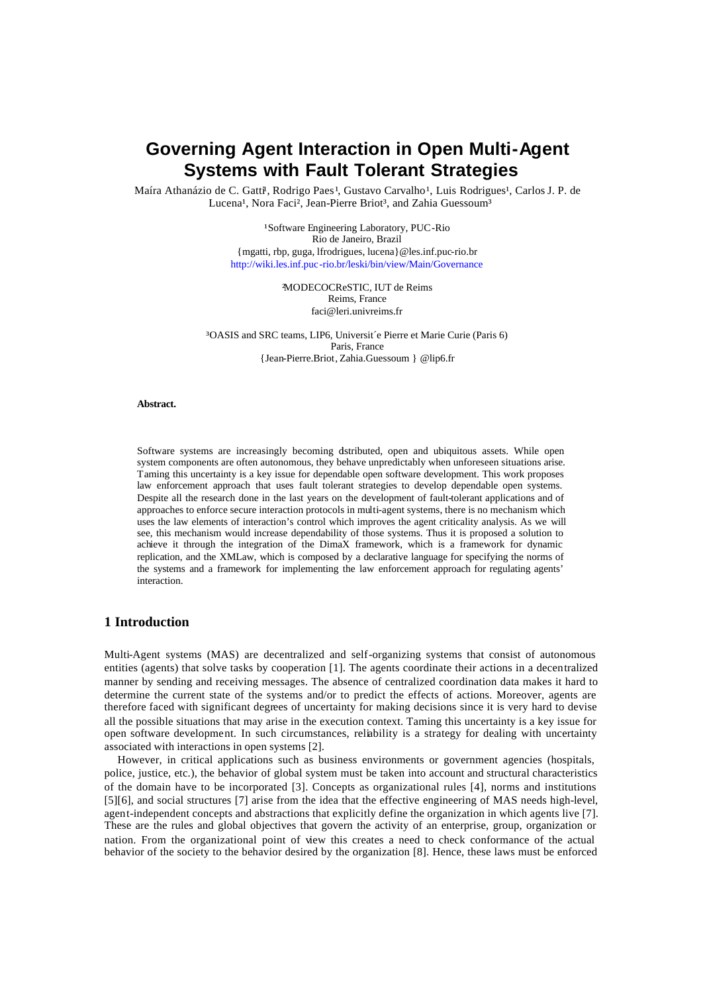# **Governing Agent Interaction in Open Multi-Agent Systems with Fault Tolerant Strategies**

Maíra Athanázio de C. Gatti<sup>l</sup>, Rodrigo Paes<sup>1</sup>, Gustavo Carvalho<sup>1</sup>, Luis Rodrigues<sup>1</sup>, Carlos J. P. de Lucena<sup>1</sup>, Nora Faci<sup>2</sup>, Jean-Pierre Briot<sup>3</sup>, and Zahia Guessoum<sup>3</sup>

> <sup>1</sup>Software Engineering Laboratory, PUC-Rio Rio de Janeiro, Brazil {mgatti, rbp, guga, lfrodrigues, lucena}@les.inf.puc-rio.br http://wiki.les.inf.puc-rio.br/leski/bin/view/Main/Governance

> > ²MODECOCReSTIC, IUT de Reims Reims, France faci@leri.univreims.fr

³OASIS and SRC teams, LIP6, Universit´e Pierre et Marie Curie (Paris 6) Paris, France {Jean-Pierre.Briot, Zahia.Guessoum } @lip6.fr

#### **Abstract.**

Software systems are increasingly becoming dstributed, open and ubiquitous assets. While open system components are often autonomous, they behave unpredictably when unforeseen situations arise. Taming this uncertainty is a key issue for dependable open software development. This work proposes law enforcement approach that uses fault tolerant strategies to develop dependable open systems. Despite all the research done in the last years on the development of fault-tolerant applications and of approaches to enforce secure interaction protocols in multi-agent systems, there is no mechanism which uses the law elements of interaction's control which improves the agent criticality analysis. As we will see, this mechanism would increase dependability of those systems. Thus it is proposed a solution to achieve it through the integration of the DimaX framework, which is a framework for dynamic replication, and the XMLaw, which is composed by a declarative language for specifying the norms of the systems and a framework for implementing the law enforcement approach for regulating agents' interaction.

# **1 Introduction**

Multi-Agent systems (MAS) are decentralized and self-organizing systems that consist of autonomous entities (agents) that solve tasks by cooperation [1]. The agents coordinate their actions in a decentralized manner by sending and receiving messages. The absence of centralized coordination data makes it hard to determine the current state of the systems and/or to predict the effects of actions. Moreover, agents are therefore faced with significant degrees of uncertainty for making decisions since it is very hard to devise all the possible situations that may arise in the execution context. Taming this uncertainty is a key issue for open software development. In such circumstances, reliability is a strategy for dealing with uncertainty associated with interactions in open systems [2].

However, in critical applications such as business environments or government agencies (hospitals, police, justice, etc.), the behavior of global system must be taken into account and structural characteristics of the domain have to be incorporated [3]. Concepts as organizational rules [4], norms and institutions [5][6], and social structures [7] arise from the idea that the effective engineering of MAS needs high-level, agent-independent concepts and abstractions that explicitly define the organization in which agents live [7]. These are the rules and global objectives that govern the activity of an enterprise, group, organization or nation. From the organizational point of view this creates a need to check conformance of the actual behavior of the society to the behavior desired by the organization [8]. Hence, these laws must be enforced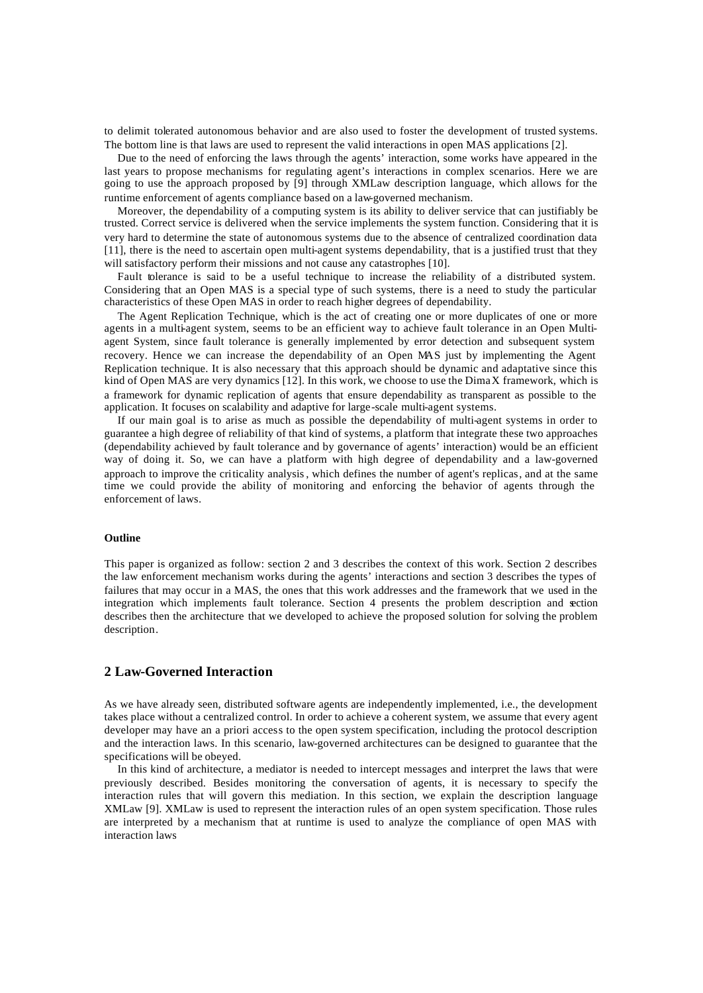to delimit tolerated autonomous behavior and are also used to foster the development of trusted systems. The bottom line is that laws are used to represent the valid interactions in open MAS applications [2].

Due to the need of enforcing the laws through the agents' interaction, some works have appeared in the last years to propose mechanisms for regulating agent's interactions in complex scenarios. Here we are going to use the approach proposed by [9] through XMLaw description language, which allows for the runtime enforcement of agents compliance based on a law-governed mechanism.

Moreover, the dependability of a computing system is its ability to deliver service that can justifiably be trusted. Correct service is delivered when the service implements the system function. Considering that it is very hard to determine the state of autonomous systems due to the absence of centralized coordination data [11], there is the need to ascertain open multi-agent systems dependability, that is a justified trust that they will satisfactory perform their missions and not cause any catastrophes [10].

Fault tolerance is said to be a useful technique to increase the reliability of a distributed system. Considering that an Open MAS is a special type of such systems, there is a need to study the particular characteristics of these Open MAS in order to reach higher degrees of dependability.

The Agent Replication Technique, which is the act of creating one or more duplicates of one or more agents in a multi-agent system, seems to be an efficient way to achieve fault tolerance in an Open Multiagent System, since fault tolerance is generally implemented by error detection and subsequent system recovery. Hence we can increase the dependability of an Open MAS just by implementing the Agent Replication technique. It is also necessary that this approach should be dynamic and adaptative since this kind of Open MAS are very dynamics [12]. In this work, we choose to use the DimaX framework, which is a framework for dynamic replication of agents that ensure dependability as transparent as possible to the application. It focuses on scalability and adaptive for large-scale multi-agent systems.

If our main goal is to arise as much as possible the dependability of multi-agent systems in order to guarantee a high degree of reliability of that kind of systems, a platform that integrate these two approaches (dependability achieved by fault tolerance and by governance of agents' interaction) would be an efficient way of doing it. So, we can have a platform with high degree of dependability and a law-governed approach to improve the criticality analysis, which defines the number of agent's replicas, and at the same time we could provide the ability of monitoring and enforcing the behavior of agents through the enforcement of laws.

#### **Outline**

This paper is organized as follow: section 2 and 3 describes the context of this work. Section 2 describes the law enforcement mechanism works during the agents' interactions and section 3 describes the types of failures that may occur in a MAS, the ones that this work addresses and the framework that we used in the integration which implements fault tolerance. Section 4 presents the problem description and section describes then the architecture that we developed to achieve the proposed solution for solving the problem description.

# **2 Law-Governed Interaction**

As we have already seen, distributed software agents are independently implemented, i.e., the development takes place without a centralized control. In order to achieve a coherent system, we assume that every agent developer may have an a priori access to the open system specification, including the protocol description and the interaction laws. In this scenario, law-governed architectures can be designed to guarantee that the specifications will be obeyed.

In this kind of architecture, a mediator is needed to intercept messages and interpret the laws that were previously described. Besides monitoring the conversation of agents, it is necessary to specify the interaction rules that will govern this mediation. In this section, we explain the description language XMLaw [9]. XMLaw is used to represent the interaction rules of an open system specification. Those rules are interpreted by a mechanism that at runtime is used to analyze the compliance of open MAS with interaction laws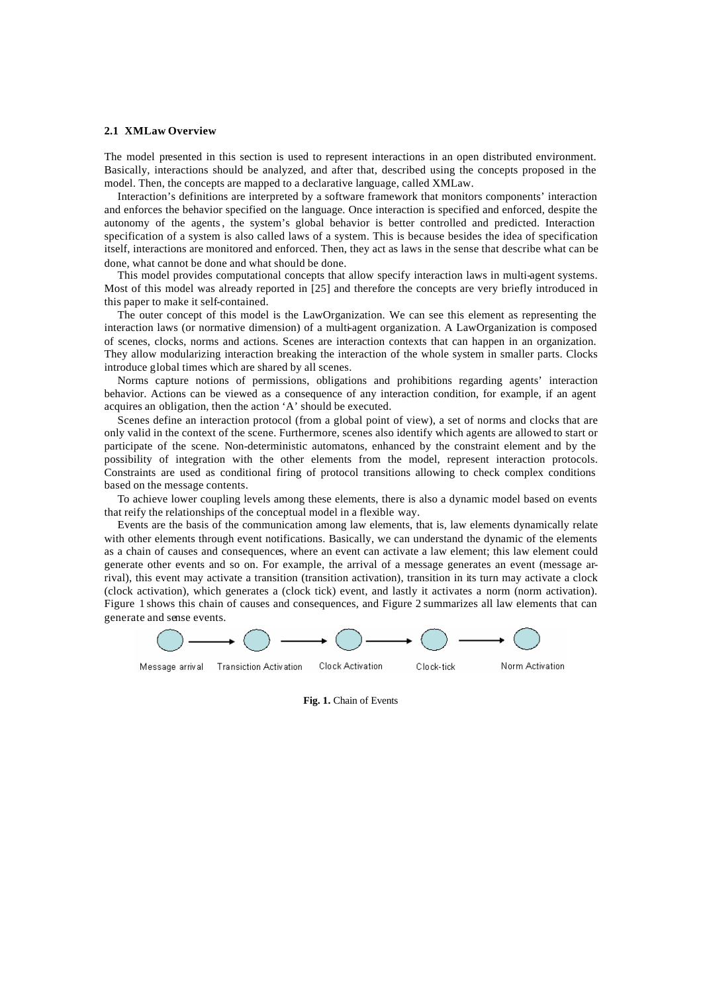#### **2.1 XMLaw Overview**

The model presented in this section is used to represent interactions in an open distributed environment. Basically, interactions should be analyzed, and after that, described using the concepts proposed in the model. Then, the concepts are mapped to a declarative language, called XMLaw.

Interaction's definitions are interpreted by a software framework that monitors components' interaction and enforces the behavior specified on the language. Once interaction is specified and enforced, despite the autonomy of the agents, the system's global behavior is better controlled and predicted. Interaction specification of a system is also called laws of a system. This is because besides the idea of specification itself, interactions are monitored and enforced. Then, they act as laws in the sense that describe what can be done, what cannot be done and what should be done.

This model provides computational concepts that allow specify interaction laws in multi-agent systems. Most of this model was already reported in [25] and therefore the concepts are very briefly introduced in this paper to make it self-contained.

The outer concept of this model is the LawOrganization. We can see this element as representing the interaction laws (or normative dimension) of a multi-agent organization. A LawOrganization is composed of scenes, clocks, norms and actions. Scenes are interaction contexts that can happen in an organization. They allow modularizing interaction breaking the interaction of the whole system in smaller parts. Clocks introduce global times which are shared by all scenes.

Norms capture notions of permissions, obligations and prohibitions regarding agents' interaction behavior. Actions can be viewed as a consequence of any interaction condition, for example, if an agent acquires an obligation, then the action 'A' should be executed.

Scenes define an interaction protocol (from a global point of view), a set of norms and clocks that are only valid in the context of the scene. Furthermore, scenes also identify which agents are allowed to start or participate of the scene. Non-deterministic automatons, enhanced by the constraint element and by the possibility of integration with the other elements from the model, represent interaction protocols. Constraints are used as conditional firing of protocol transitions allowing to check complex conditions based on the message contents.

To achieve lower coupling levels among these elements, there is also a dynamic model based on events that reify the relationships of the conceptual model in a flexible way.

Events are the basis of the communication among law elements, that is, law elements dynamically relate with other elements through event notifications. Basically, we can understand the dynamic of the elements as a chain of causes and consequences, where an event can activate a law element; this law element could generate other events and so on. For example, the arrival of a message generates an event (message arrival), this event may activate a transition (transition activation), transition in its turn may activate a clock (clock activation), which generates a (clock tick) event, and lastly it activates a norm (norm activation). Figure 1 shows this chain of causes and consequences, and Figure 2 summarizes all law elements that can generate and sense events.



**Fig. 1.** Chain of Events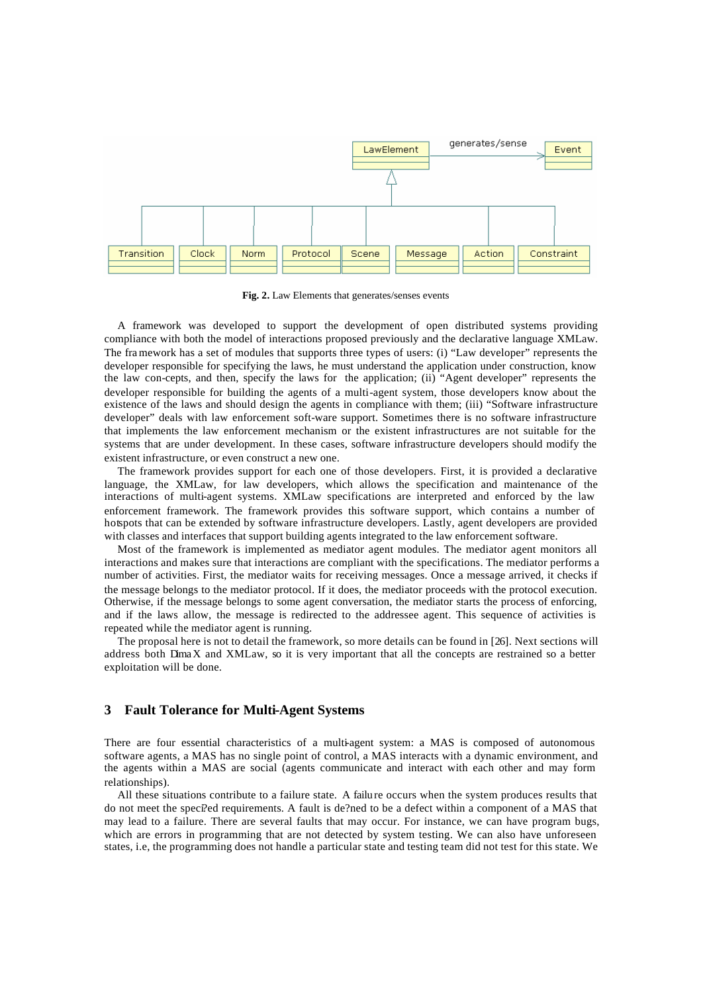

**Fig. 2.** Law Elements that generates/senses events

A framework was developed to support the development of open distributed systems providing compliance with both the model of interactions proposed previously and the declarative language XMLaw. The framework has a set of modules that supports three types of users: (i) "Law developer" represents the developer responsible for specifying the laws, he must understand the application under construction, know the law con-cepts, and then, specify the laws for the application; (ii) "Agent developer" represents the developer responsible for building the agents of a multi-agent system, those developers know about the existence of the laws and should design the agents in compliance with them; (iii) "Software infrastructure developer" deals with law enforcement soft-ware support. Sometimes there is no software infrastructure that implements the law enforcement mechanism or the existent infrastructures are not suitable for the systems that are under development. In these cases, software infrastructure developers should modify the existent infrastructure, or even construct a new one.

The framework provides support for each one of those developers. First, it is provided a declarative language, the XMLaw, for law developers, which allows the specification and maintenance of the interactions of multi-agent systems. XMLaw specifications are interpreted and enforced by the law enforcement framework. The framework provides this software support, which contains a number of hotspots that can be extended by software infrastructure developers. Lastly, agent developers are provided with classes and interfaces that support building agents integrated to the law enforcement software.

Most of the framework is implemented as mediator agent modules. The mediator agent monitors all interactions and makes sure that interactions are compliant with the specifications. The mediator performs a number of activities. First, the mediator waits for receiving messages. Once a message arrived, it checks if the message belongs to the mediator protocol. If it does, the mediator proceeds with the protocol execution. Otherwise, if the message belongs to some agent conversation, the mediator starts the process of enforcing, and if the laws allow, the message is redirected to the addressee agent. This sequence of activities is repeated while the mediator agent is running.

The proposal here is not to detail the framework, so more details can be found in [26]. Next sections will address both DimaX and XMLaw, so it is very important that all the concepts are restrained so a better exploitation will be done.

## **3 Fault Tolerance for Multi-Agent Systems**

There are four essential characteristics of a multi-agent system: a MAS is composed of autonomous software agents, a MAS has no single point of control, a MAS interacts with a dynamic environment, and the agents within a MAS are social (agents communicate and interact with each other and may form relationships).

All these situations contribute to a failure state. A failu re occurs when the system produces results that do not meet the speci?ed requirements. A fault is de?ned to be a defect within a component of a MAS that may lead to a failure. There are several faults that may occur. For instance, we can have program bugs, which are errors in programming that are not detected by system testing. We can also have unforeseen states, i.e, the programming does not handle a particular state and testing team did not test for this state. We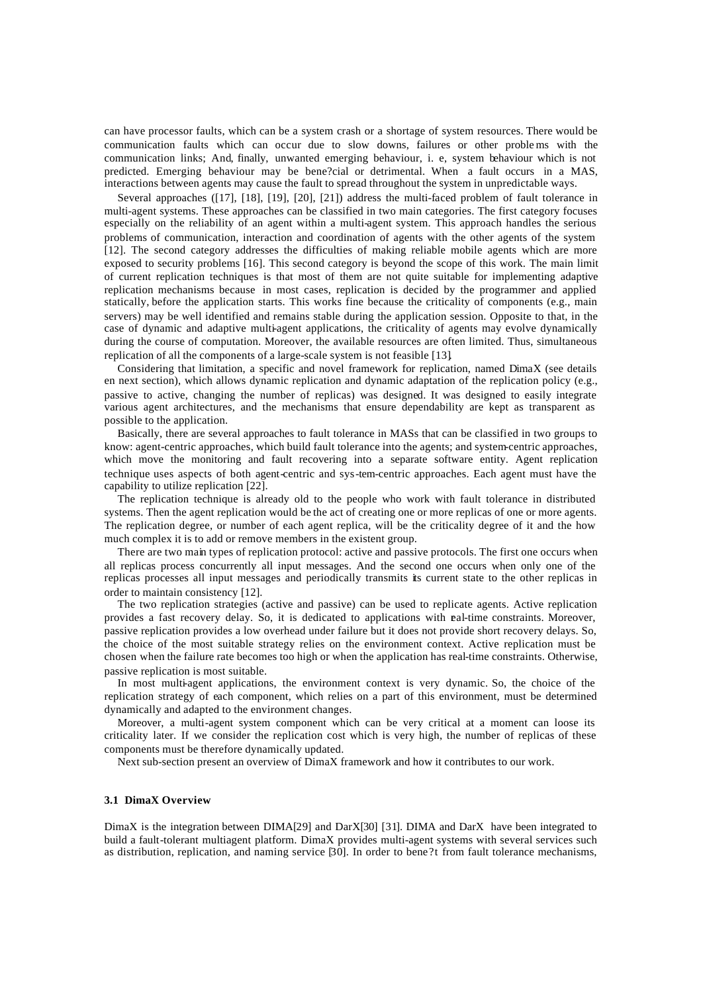can have processor faults, which can be a system crash or a shortage of system resources. There would be communication faults which can occur due to slow downs, failures or other proble ms with the communication links; And, finally, unwanted emerging behaviour, i. e, system behaviour which is not predicted. Emerging behaviour may be bene?cial or detrimental. When a fault occurs in a MAS, interactions between agents may cause the fault to spread throughout the system in unpredictable ways.

Several approaches ([17], [18], [19], [20], [21]) address the multi-faced problem of fault tolerance in multi-agent systems. These approaches can be classified in two main categories. The first category focuses especially on the reliability of an agent within a multi-agent system. This approach handles the serious problems of communication, interaction and coordination of agents with the other agents of the system [12]. The second category addresses the difficulties of making reliable mobile agents which are more exposed to security problems [16]. This second category is beyond the scope of this work. The main limit of current replication techniques is that most of them are not quite suitable for implementing adaptive replication mechanisms because in most cases, replication is decided by the programmer and applied statically, before the application starts. This works fine because the criticality of components (e.g., main servers) may be well identified and remains stable during the application session. Opposite to that, in the case of dynamic and adaptive multi-agent applications, the criticality of agents may evolve dynamically during the course of computation. Moreover, the available resources are often limited. Thus, simultaneous replication of all the components of a large-scale system is not feasible [13].

Considering that limitation, a specific and novel framework for replication, named DimaX (see details en next section), which allows dynamic replication and dynamic adaptation of the replication policy (e.g., passive to active, changing the number of replicas) was designed. It was designed to easily integrate various agent architectures, and the mechanisms that ensure dependability are kept as transparent as possible to the application.

Basically, there are several approaches to fault tolerance in MASs that can be classified in two groups to know: agent-centric approaches, which build fault tolerance into the agents; and system-centric approaches, which move the monitoring and fault recovering into a separate software entity. Agent replication technique uses aspects of both agent-centric and sys-tem-centric approaches. Each agent must have the capability to utilize replication [22].

The replication technique is already old to the people who work with fault tolerance in distributed systems. Then the agent replication would be the act of creating one or more replicas of one or more agents. The replication degree, or number of each agent replica, will be the criticality degree of it and the how much complex it is to add or remove members in the existent group.

There are two main types of replication protocol: active and passive protocols. The first one occurs when all replicas process concurrently all input messages. And the second one occurs when only one of the replicas processes all input messages and periodically transmits its current state to the other replicas in order to maintain consistency [12].

The two replication strategies (active and passive) can be used to replicate agents. Active replication provides a fast recovery delay. So, it is dedicated to applications with real-time constraints. Moreover, passive replication provides a low overhead under failure but it does not provide short recovery delays. So, the choice of the most suitable strategy relies on the environment context. Active replication must be chosen when the failure rate becomes too high or when the application has real-time constraints. Otherwise, passive replication is most suitable.

In most multi-agent applications, the environment context is very dynamic. So, the choice of the replication strategy of each component, which relies on a part of this environment, must be determined dynamically and adapted to the environment changes.

Moreover, a multi-agent system component which can be very critical at a moment can loose its criticality later. If we consider the replication cost which is very high, the number of replicas of these components must be therefore dynamically updated.

Next sub-section present an overview of DimaX framework and how it contributes to our work.

## **3.1 DimaX Overview**

DimaX is the integration between DIMA[29] and DarX[30] [31]. DIMA and DarX have been integrated to build a fault-tolerant multiagent platform. DimaX provides multi-agent systems with several services such as distribution, replication, and naming service [30]. In order to bene?t from fault tolerance mechanisms,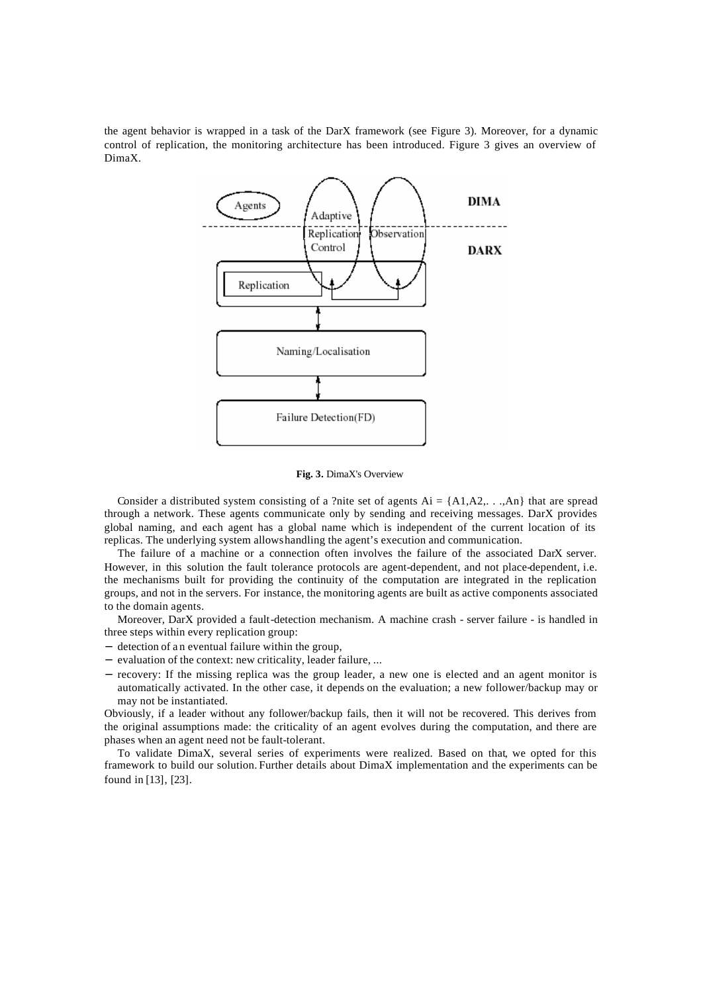the agent behavior is wrapped in a task of the DarX framework (see Figure 3). Moreover, for a dynamic control of replication, the monitoring architecture has been introduced. Figure 3 gives an overview of DimaX.



**Fig. 3.** DimaX's Overview

Consider a distributed system consisting of a ?nite set of agents  $Ai = \{A1, A2, \dots, An\}$  that are spread through a network. These agents communicate only by sending and receiving messages. DarX provides global naming, and each agent has a global name which is independent of the current location of its replicas. The underlying system allows handling the agent's execution and communication.

The failure of a machine or a connection often involves the failure of the associated DarX server. However, in this solution the fault tolerance protocols are agent-dependent, and not place-dependent, i.e. the mechanisms built for providing the continuity of the computation are integrated in the replication groups, and not in the servers. For instance, the monitoring agents are built as active components associated to the domain agents.

Moreover, DarX provided a fault-detection mechanism. A machine crash - server failure - is handled in three steps within every replication group:

- − detection of a n eventual failure within the group,
- − evaluation of the context: new criticality, leader failure, ...
- − recovery: If the missing replica was the group leader, a new one is elected and an agent monitor is automatically activated. In the other case, it depends on the evaluation; a new follower/backup may or may not be instantiated.

Obviously, if a leader without any follower/backup fails, then it will not be recovered. This derives from the original assumptions made: the criticality of an agent evolves during the computation, and there are phases when an agent need not be fault-tolerant.

To validate DimaX, several series of experiments were realized. Based on that, we opted for this framework to build our solution. Further details about DimaX implementation and the experiments can be found in [13], [23].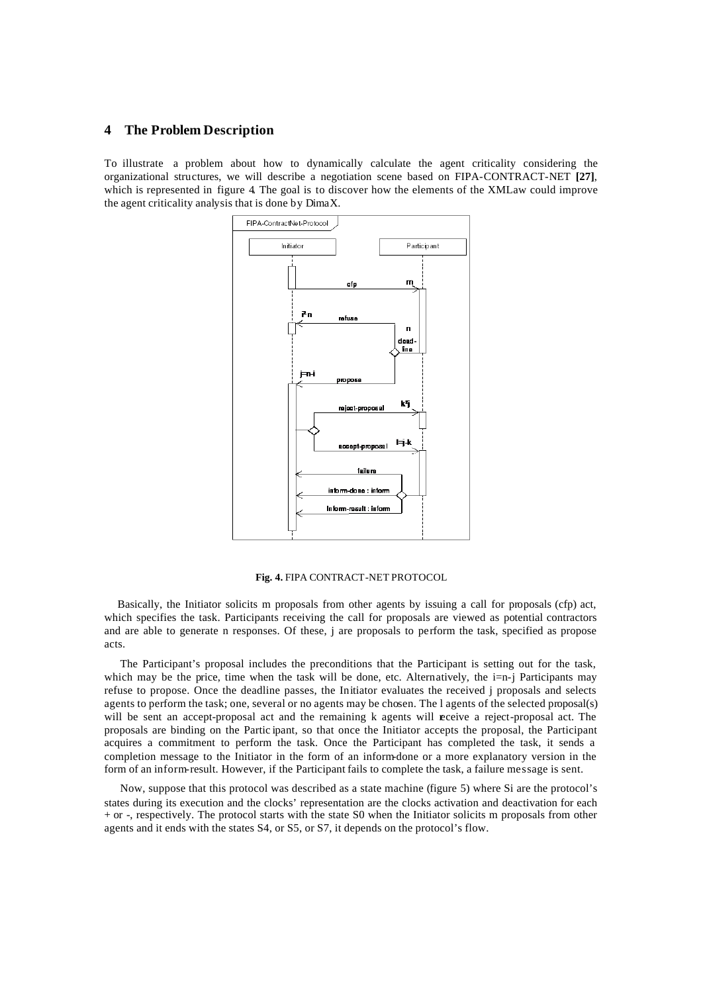# **4 The Problem Description**

To illustrate a problem about how to dynamically calculate the agent criticality considering the organizational structures, we will describe a negotiation scene based on FIPA-CONTRACT-NET **[27]**, which is represented in figure 4. The goal is to discover how the elements of the XMLaw could improve the agent criticality analysis that is done by DimaX.



**Fig. 4.** FIPA CONTRACT-NET PROTOCOL

Basically, the Initiator solicits m proposals from other agents by issuing a call for proposals (cfp) act, which specifies the task. Participants receiving the call for proposals are viewed as potential contractors and are able to generate n responses. Of these, j are proposals to perform the task, specified as propose acts.

The Participant's proposal includes the preconditions that the Participant is setting out for the task, which may be the price, time when the task will be done, etc. Alternatively, the i=n-j Participants may refuse to propose. Once the deadline passes, the Initiator evaluates the received j proposals and selects agents to perform the task; one, several or no agents may be chosen. The l agents of the selected proposal(s) will be sent an accept-proposal act and the remaining k agents will **receive** a reject-proposal act. The proposals are binding on the Partic ipant, so that once the Initiator accepts the proposal, the Participant acquires a commitment to perform the task. Once the Participant has completed the task, it sends a completion message to the Initiator in the form of an inform-done or a more explanatory version in the form of an inform-result. However, if the Participant fails to complete the task, a failure message is sent.

Now, suppose that this protocol was described as a state machine (figure 5) where Si are the protocol's states during its execution and the clocks' representation are the clocks activation and deactivation for each + or -, respectively. The protocol starts with the state S0 when the Initiator solicits m proposals from other agents and it ends with the states S4, or S5, or S7, it depends on the protocol's flow.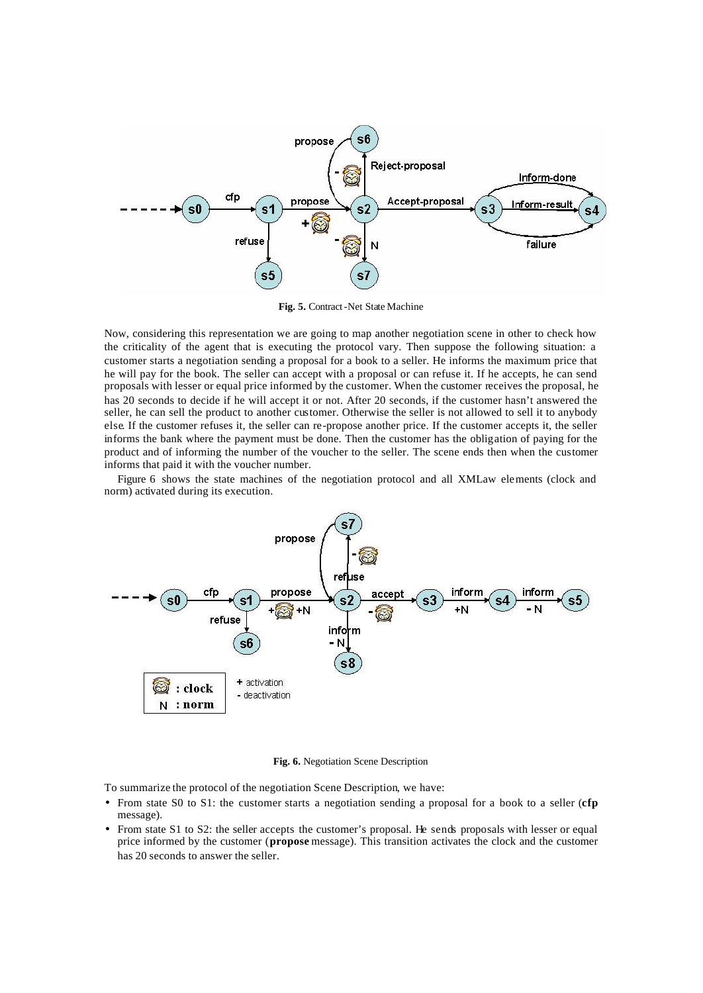

**Fig. 5.** Contract-Net State Machine

Now, considering this representation we are going to map another negotiation scene in other to check how the criticality of the agent that is executing the protocol vary. Then suppose the following situation: a customer starts a negotiation sending a proposal for a book to a seller. He informs the maximum price that he will pay for the book. The seller can accept with a proposal or can refuse it. If he accepts, he can send proposals with lesser or equal price informed by the customer. When the customer receives the proposal, he has 20 seconds to decide if he will accept it or not. After 20 seconds, if the customer hasn't answered the seller, he can sell the product to another customer. Otherwise the seller is not allowed to sell it to anybody else. If the customer refuses it, the seller can re-propose another price. If the customer accepts it, the seller informs the bank where the payment must be done. Then the customer has the obligation of paying for the product and of informing the number of the voucher to the seller. The scene ends then when the customer informs that paid it with the voucher number.

Figure 6 shows the state machines of the negotiation protocol and all XMLaw elements (clock and norm) activated during its execution.



**Fig. 6.** Negotiation Scene Description

To summarize the protocol of the negotiation Scene Description, we have:

- From state S0 to S1: the customer starts a negotiation sending a proposal for a book to a seller (**cfp** message).
- From state S1 to S2: the seller accepts the customer's proposal. He sends proposals with lesser or equal price informed by the customer (**propose** message). This transition activates the clock and the customer has 20 seconds to answer the seller.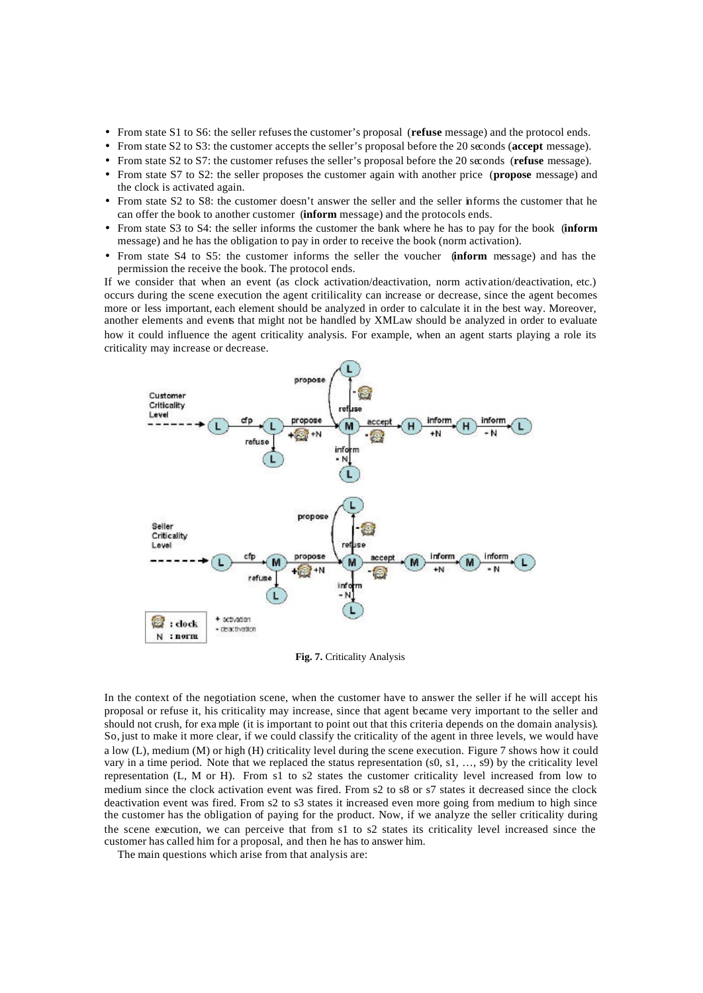- From state S1 to S6: the seller refuses the customer's proposal (**refuse** message) and the protocol ends.
- From state S2 to S3: the customer accepts the seller's proposal before the 20 seconds (**accept** message).
- From state S2 to S7: the customer refuses the seller's proposal before the 20 seconds (**refuse** message).
- From state S7 to S2: the seller proposes the customer again with another price (**propose** message) and the clock is activated again.
- From state S2 to S8: the customer doesn't answer the seller and the seller informs the customer that he can offer the book to another customer (**inform** message) and the protocols ends.
- From state S3 to S4: the seller informs the customer the bank where he has to pay for the book (**inform**  message) and he has the obligation to pay in order to receive the book (norm activation).
- From state S4 to S5: the customer informs the seller the voucher (**inform** message) and has the permission the receive the book. The protocol ends.

If we consider that when an event (as clock activation/deactivation, norm activation/deactivation, etc.) occurs during the scene execution the agent critilicality can increase or decrease, since the agent becomes more or less important, each element should be analyzed in order to calculate it in the best way. Moreover, another elements and events that might not be handled by XMLaw should be analyzed in order to evaluate how it could influence the agent criticality analysis. For example, when an agent starts playing a role its criticality may increase or decrease.



**Fig. 7.** Criticality Analysis

In the context of the negotiation scene, when the customer have to answer the seller if he will accept his proposal or refuse it, his criticality may increase, since that agent became very important to the seller and should not crush, for exa mple (it is important to point out that this criteria depends on the domain analysis). So, just to make it more clear, if we could classify the criticality of the agent in three levels, we would have a low (L), medium (M) or high (H) criticality level during the scene execution. Figure 7 shows how it could vary in a time period. Note that we replaced the status representation (s0, s1, ..., s9) by the criticality level representation (L, M or H). From s1 to s2 states the customer criticality level increased from low to medium since the clock activation event was fired. From s2 to s8 or s7 states it decreased since the clock deactivation event was fired. From s2 to s3 states it increased even more going from medium to high since the customer has the obligation of paying for the product. Now, if we analyze the seller criticality during the scene execution, we can perceive that from s1 to s2 states its criticality level increased since the customer has called him for a proposal, and then he has to answer him.

The main questions which arise from that analysis are: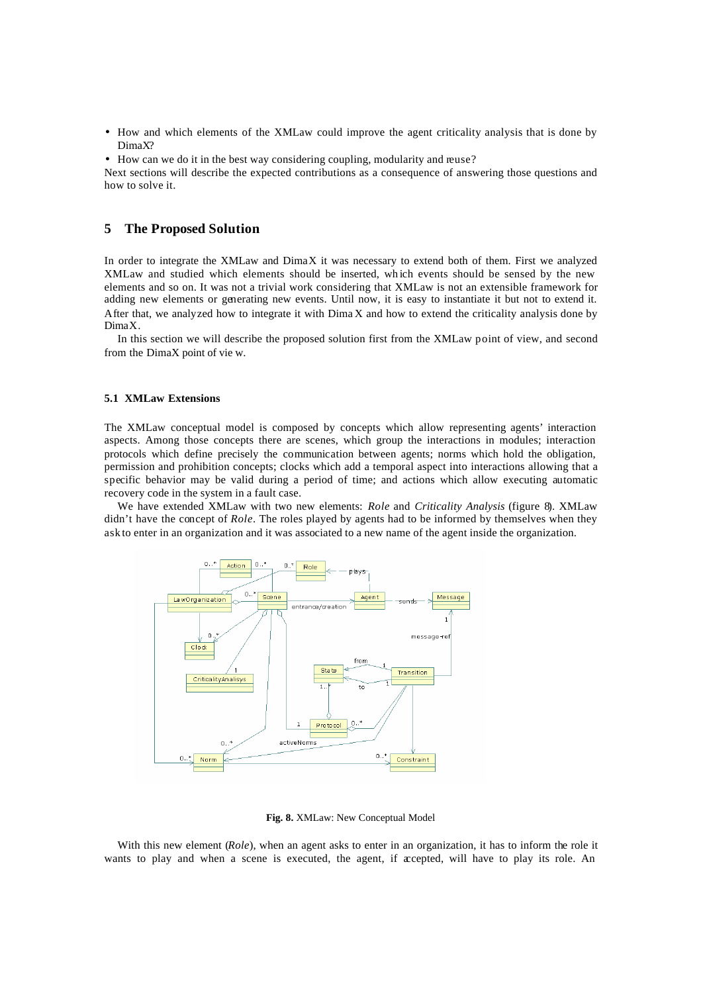- How and which elements of the XMLaw could improve the agent criticality analysis that is done by DimaX?
- How can we do it in the best way considering coupling, modularity and reuse?

Next sections will describe the expected contributions as a consequence of answering those questions and how to solve it.

# **5 The Proposed Solution**

In order to integrate the XMLaw and DimaX it was necessary to extend both of them. First we analyzed XMLaw and studied which elements should be inserted, wh ich events should be sensed by the new elements and so on. It was not a trivial work considering that XMLaw is not an extensible framework for adding new elements or generating new events. Until now, it is easy to instantiate it but not to extend it. After that, we analyzed how to integrate it with Dima X and how to extend the criticality analysis done by DimaX.

In this section we will describe the proposed solution first from the XMLaw point of view, and second from the DimaX point of vie w.

#### **5.1 XMLaw Extensions**

The XMLaw conceptual model is composed by concepts which allow representing agents' interaction aspects. Among those concepts there are scenes, which group the interactions in modules; interaction protocols which define precisely the communication between agents; norms which hold the obligation, permission and prohibition concepts; clocks which add a temporal aspect into interactions allowing that a specific behavior may be valid during a period of time; and actions which allow executing automatic recovery code in the system in a fault case.

We have extended XMLaw with two new elements: *Role* and *Criticality Analysis* (figure 8). XMLaw didn't have the concept of *Role*. The roles played by agents had to be informed by themselves when they ask to enter in an organization and it was associated to a new name of the agent inside the organization.



#### **Fig. 8.** XMLaw: New Conceptual Model

With this new element (*Role*), when an agent asks to enter in an organization, it has to inform the role it wants to play and when a scene is executed, the agent, if accepted, will have to play its role. An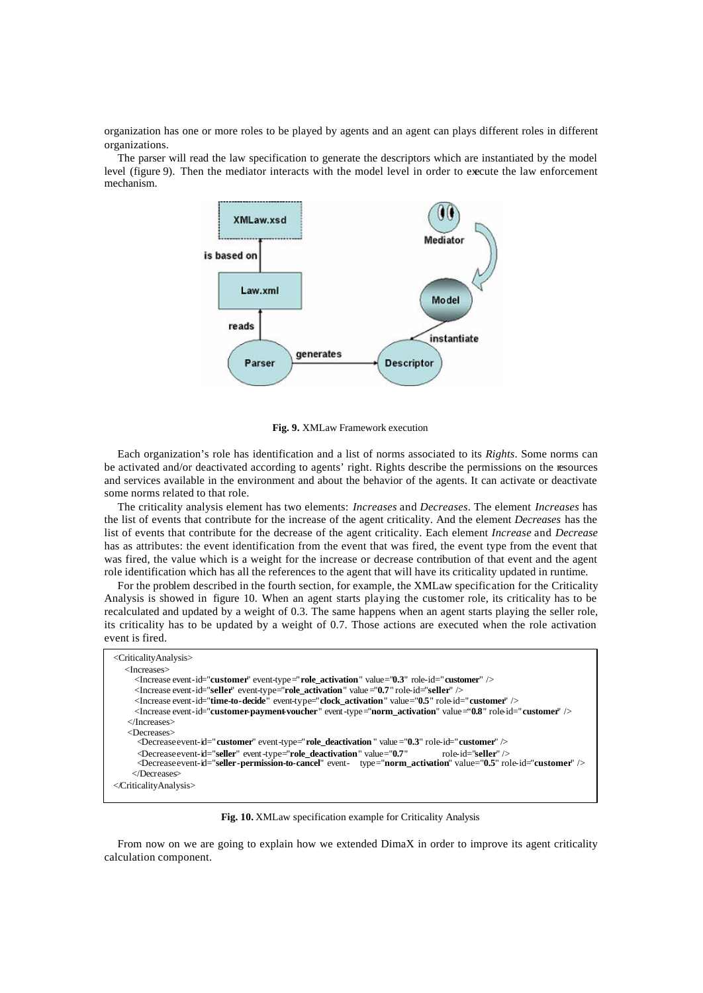organization has one or more roles to be played by agents and an agent can plays different roles in different organizations.

The parser will read the law specification to generate the descriptors which are instantiated by the model level (figure 9). Then the mediator interacts with the model level in order to execute the law enforcement mechanism.



**Fig. 9.** XMLaw Framework execution

Each organization's role has identification and a list of norms associated to its *Rights*. Some norms can be activated and/or deactivated according to agents' right. Rights describe the permissions on the resources and services available in the environment and about the behavior of the agents. It can activate or deactivate some norms related to that role.

The criticality analysis element has two elements: *Increases* and *Decreases*. The element *Increases* has the list of events that contribute for the increase of the agent criticality. And the element *Decreases* has the list of events that contribute for the decrease of the agent criticality. Each element *Increase* and *Decrease* has as attributes: the event identification from the event that was fired, the event type from the event that was fired, the value which is a weight for the increase or decrease contribution of that event and the agent role identification which has all the references to the agent that will have its criticality updated in runtime.

For the problem described in the fourth section, for example, the XMLaw specification for the Criticality Analysis is showed in figure 10. When an agent starts playing the customer role, its criticality has to be recalculated and updated by a weight of 0.3. The same happens when an agent starts playing the seller role, its criticality has to be updated by a weight of 0.7. Those actions are executed when the role activation event is fired.

```
<CriticalityAnalysis>
   <Increases>
      <Increase event-id="customer" event-type="role_activation" value="0.3" role-id="customer" />
      <Increase event-id="seller" event-type="role_activation" value ="0.7" role-id="seller" />
      <Increase event-id="time-to-decide" event-type="clock_activation" value="0.5" role-id="customer" />
      <Increase event-id="customer-payment-voucher" event-type="norm_activation" value="0.8" role-id="customer" />
    </Increases>
    <Decreases>
       <Decreaseevent-id="customer" event-type="role_deactivation " value="0.3" role-id="customer" />
       <Decreaseevent-id="seller" event-type="role_deactivation" value="0.7" role-id="seller" />
       <Decreaseevent-id="seller-permission-to-cancel" event- type="norm_activation" value="0.5" role-id="customer" />
      </Decreases>
</CriticalityAnalysis>
```
**Fig. 10.** XMLaw specification example for Criticality Analysis

From now on we are going to explain how we extended DimaX in order to improve its agent criticality calculation component.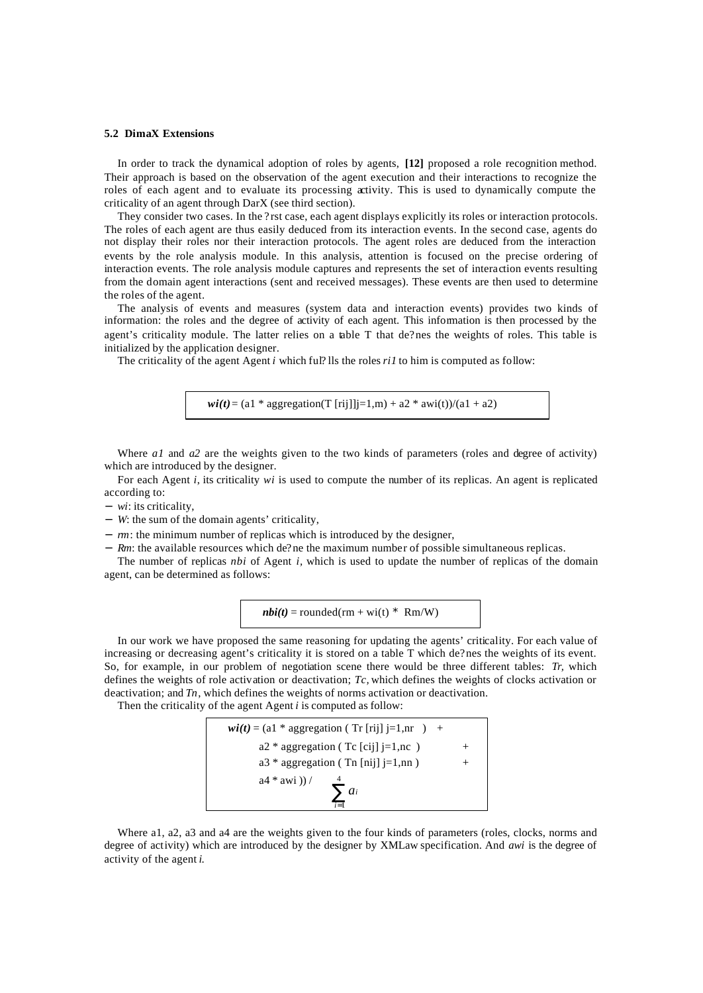### **5.2 DimaX Extensions**

In order to track the dynamical adoption of roles by agents, **[12]** proposed a role recognition method. Their approach is based on the observation of the agent execution and their interactions to recognize the roles of each agent and to evaluate its processing activity. This is used to dynamically compute the criticality of an agent through DarX (see third section).

They consider two cases. In the ? rst case, each agent displays explicitly its roles or interaction protocols. The roles of each agent are thus easily deduced from its interaction events. In the second case, agents do not display their roles nor their interaction protocols. The agent roles are deduced from the interaction events by the role analysis module. In this analysis, attention is focused on the precise ordering of interaction events. The role analysis module captures and represents the set of interaction events resulting from the domain agent interactions (sent and received messages). These events are then used to determine the roles of the agent.

The analysis of events and measures (system data and interaction events) provides two kinds of information: the roles and the degree of activity of each agent. This information is then processed by the agent's criticality module. The latter relies on a table T that de?nes the weights of roles. This table is initialized by the application designer.

The criticality of the agent Agent *i* which ful? lls the roles *ri1* to him is computed as follow:

 $\textbf{wi}(t) = (a1 * aggregation(T [rij]]j=1,m) + a2 * awi(t)/(a1 + a2)$ 

Where *a1* and *a2* are the weights given to the two kinds of parameters (roles and degree of activity) which are introduced by the designer.

For each Agent *i*, its criticality *wi* is used to compute the number of its replicas. An agent is replicated according to:

- − *wi*: its criticality,
- − *W*: the sum of the domain agents' criticality,
- − *rm*: the minimum number of replicas which is introduced by the designer,
- − *Rm*: the available resources which de?ne the maximum number of possible simultaneous replicas.

The number of replicas *nbi* of Agent *i,* which is used to update the number of replicas of the domain agent, can be determined as follows:

$$
nbi(t) = rounded(rm + wi(t) * Rm/W)
$$

In our work we have proposed the same reasoning for updating the agents' criticality. For each value of increasing or decreasing agent's criticality it is stored on a table T which de?nes the weights of its event. So, for example, in our problem of negotiation scene there would be three different tables: *Tr,* which defines the weights of role activation or deactivation; *Tc,* which defines the weights of clocks activation or deactivation; and *Tn*, which defines the weights of norms activation or deactivation.

Then the criticality of the agent Agent *i* is computed as follow:

$$
wi(t) = (a1 * aggregation (Tr [rij] j=1, nr ) +a2 * aggregation (Tr [cij] j=1, nc ) +a3 * aggregation (Tr [nij] j=1, nn ) +a4 * awi)) / \sum_{i=1}^{4} a_i
$$

Where a1, a2, a3 and a4 are the weights given to the four kinds of parameters (roles, clocks, norms and degree of activity) which are introduced by the designer by XMLaw specification. And *awi* is the degree of activity of the agent *i*.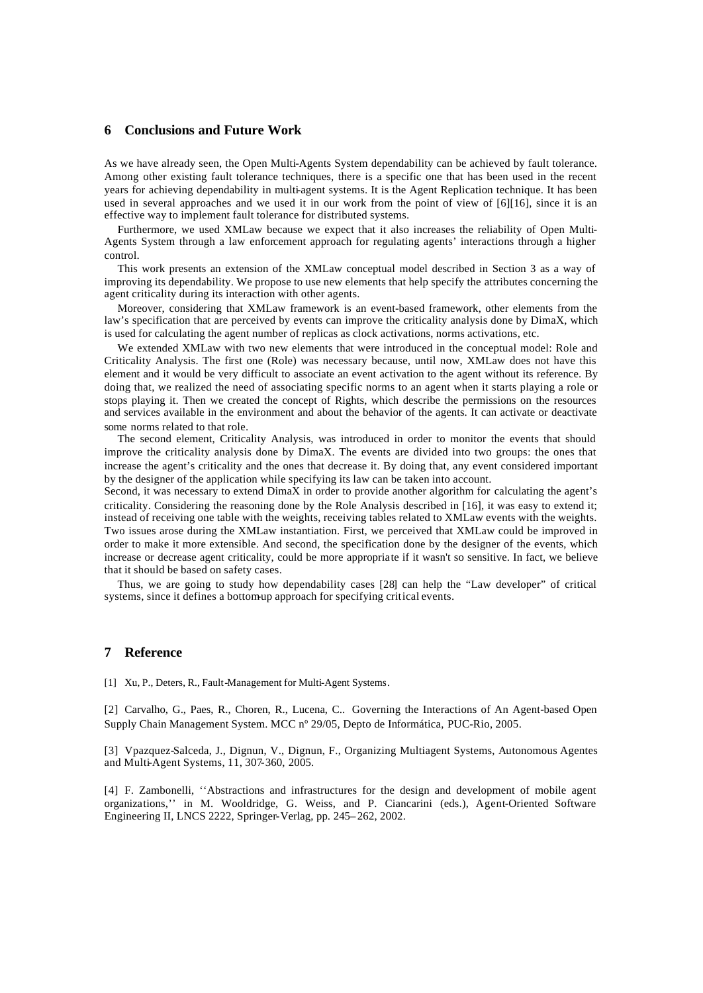# **6 Conclusions and Future Work**

As we have already seen, the Open Multi-Agents System dependability can be achieved by fault tolerance. Among other existing fault tolerance techniques, there is a specific one that has been used in the recent years for achieving dependability in multi-agent systems. It is the Agent Replication technique. It has been used in several approaches and we used it in our work from the point of view of [6][16], since it is an effective way to implement fault tolerance for distributed systems.

Furthermore, we used XMLaw because we expect that it also increases the reliability of Open Multi-Agents System through a law enforcement approach for regulating agents' interactions through a higher control.

This work presents an extension of the XMLaw conceptual model described in Section 3 as a way of improving its dependability. We propose to use new elements that help specify the attributes concerning the agent criticality during its interaction with other agents.

Moreover, considering that XMLaw framework is an event-based framework, other elements from the law's specification that are perceived by events can improve the criticality analysis done by DimaX, which is used for calculating the agent number of replicas as clock activations, norms activations, etc.

We extended XMLaw with two new elements that were introduced in the conceptual model: Role and Criticality Analysis. The first one (Role) was necessary because, until now, XMLaw does not have this element and it would be very difficult to associate an event activation to the agent without its reference. By doing that, we realized the need of associating specific norms to an agent when it starts playing a role or stops playing it. Then we created the concept of Rights, which describe the permissions on the resources and services available in the environment and about the behavior of the agents. It can activate or deactivate some norms related to that role.

The second element, Criticality Analysis, was introduced in order to monitor the events that should improve the criticality analysis done by DimaX. The events are divided into two groups: the ones that increase the agent's criticality and the ones that decrease it. By doing that, any event considered important by the designer of the application while specifying its law can be taken into account.

Second, it was necessary to extend DimaX in order to provide another algorithm for calculating the agent's criticality. Considering the reasoning done by the Role Analysis described in [16], it was easy to extend it; instead of receiving one table with the weights, receiving tables related to XMLaw events with the weights. Two issues arose during the XMLaw instantiation. First, we perceived that XMLaw could be improved in order to make it more extensible. And second, the specification done by the designer of the events, which increase or decrease agent criticality, could be more appropriate if it wasn't so sensitive. In fact, we believe that it should be based on safety cases.

Thus, we are going to study how dependability cases [28] can help the "Law developer" of critical systems, since it defines a bottom-up approach for specifying critical events.

# **7 Reference**

[1] Xu, P., Deters, R., Fault-Management for Multi-Agent Systems.

[2] Carvalho, G., Paes, R., Choren, R., Lucena, C.. Governing the Interactions of An Agent-based Open Supply Chain Management System. MCC nº 29/05, Depto de Informática, PUC-Rio, 2005.

[3] Vpazquez-Salceda, J., Dignun, V., Dignun, F., Organizing Multiagent Systems, Autonomous Agentes and Multi-Agent Systems, 11, 307-360, 2005.

[4] F. Zambonelli, ''Abstractions and infrastructures for the design and development of mobile agent organizations,'' in M. Wooldridge, G. Weiss, and P. Ciancarini (eds.), Agent-Oriented Software Engineering II, LNCS 2222, Springer-Verlag, pp. 245– 262, 2002.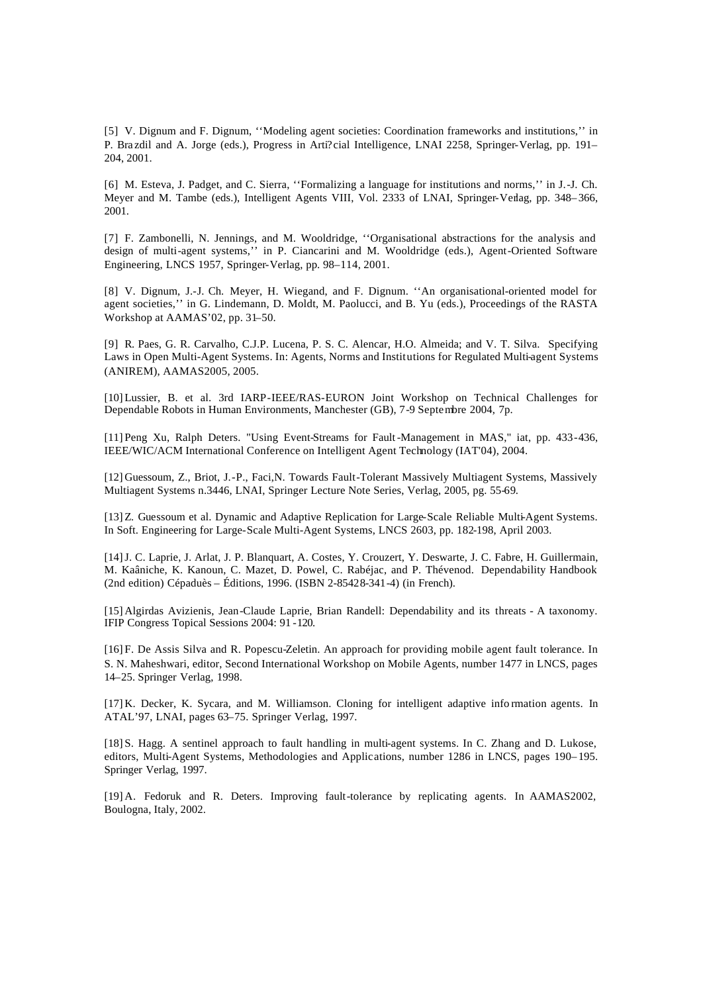[5] V. Dignum and F. Dignum, ''Modeling agent societies: Coordination frameworks and institutions,'' in P. Bra zdil and A. Jorge (eds.), Progress in Arti? cial Intelligence, LNAI 2258, Springer-Verlag, pp. 191– 204, 2001.

[6] M. Esteva, J. Padget, and C. Sierra, ''Formalizing a language for institutions and norms,'' in J.-J. Ch. Meyer and M. Tambe (eds.), Intelligent Agents VIII, Vol. 2333 of LNAI, Springer-Verlag, pp. 348– 366, 2001.

[7] F. Zambonelli, N. Jennings, and M. Wooldridge, ''Organisational abstractions for the analysis and design of multi-agent systems,'' in P. Ciancarini and M. Wooldridge (eds.), Agent-Oriented Software Engineering, LNCS 1957, Springer-Verlag, pp. 98–114, 2001.

[8] V. Dignum, J.-J. Ch. Meyer, H. Wiegand, and F. Dignum. ''An organisational-oriented model for agent societies,'' in G. Lindemann, D. Moldt, M. Paolucci, and B. Yu (eds.), Proceedings of the RASTA Workshop at AAMAS'02, pp. 31–50.

[9] R. Paes, G. R. Carvalho, C.J.P. Lucena, P. S. C. Alencar, H.O. Almeida; and V. T. Silva. Specifying Laws in Open Multi-Agent Systems. In: Agents, Norms and Institutions for Regulated Multi-agent Systems (ANIREM), AAMAS2005, 2005.

[10] Lussier, B. et al. 3rd IARP-IEEE/RAS-EURON Joint Workshop on Technical Challenges for Dependable Robots in Human Environments, Manchester (GB), 7-9 Septembre 2004, 7p.

[11] Peng Xu, Ralph Deters. "Using Event-Streams for Fault-Management in MAS," iat, pp. 433-436, IEEE/WIC/ACM International Conference on Intelligent Agent Technology (IAT'04), 2004.

[12] Guessoum, Z., Briot, J.-P., Faci,N. Towards Fault-Tolerant Massively Multiagent Systems, Massively Multiagent Systems n.3446, LNAI, Springer Lecture Note Series, Verlag, 2005, pg. 55-69.

[13] Z. Guessoum et al. Dynamic and Adaptive Replication for Large-Scale Reliable Multi-Agent Systems. In Soft. Engineering for Large-Scale Multi-Agent Systems, LNCS 2603, pp. 182-198, April 2003.

[14]J. C. Laprie, J. Arlat, J. P. Blanquart, A. Costes, Y. Crouzert, Y. Deswarte, J. C. Fabre, H. Guillermain, M. Kaâniche, K. Kanoun, C. Mazet, D. Powel, C. Rabéjac, and P. Thévenod. Dependability Handbook (2nd edition) Cépaduès – Éditions, 1996. (ISBN 2-85428-341-4) (in French).

[15] Algirdas Avizienis, Jean-Claude Laprie, Brian Randell: Dependability and its threats - A taxonomy. IFIP Congress Topical Sessions 2004: 91 -120.

[16] F. De Assis Silva and R. Popescu-Zeletin. An approach for providing mobile agent fault tolerance. In S. N. Maheshwari, editor, Second International Workshop on Mobile Agents, number 1477 in LNCS, pages 14–25. Springer Verlag, 1998.

[17] K. Decker, K. Sycara, and M. Williamson. Cloning for intelligent adaptive info rmation agents. In ATAL'97, LNAI, pages 63–75. Springer Verlag, 1997.

[18] S. Hagg. A sentinel approach to fault handling in multi-agent systems. In C. Zhang and D. Lukose, editors, Multi-Agent Systems, Methodologies and Applications, number 1286 in LNCS, pages 190– 195. Springer Verlag, 1997.

[19] A. Fedoruk and R. Deters. Improving fault-tolerance by replicating agents. In AAMAS2002, Boulogna, Italy, 2002.